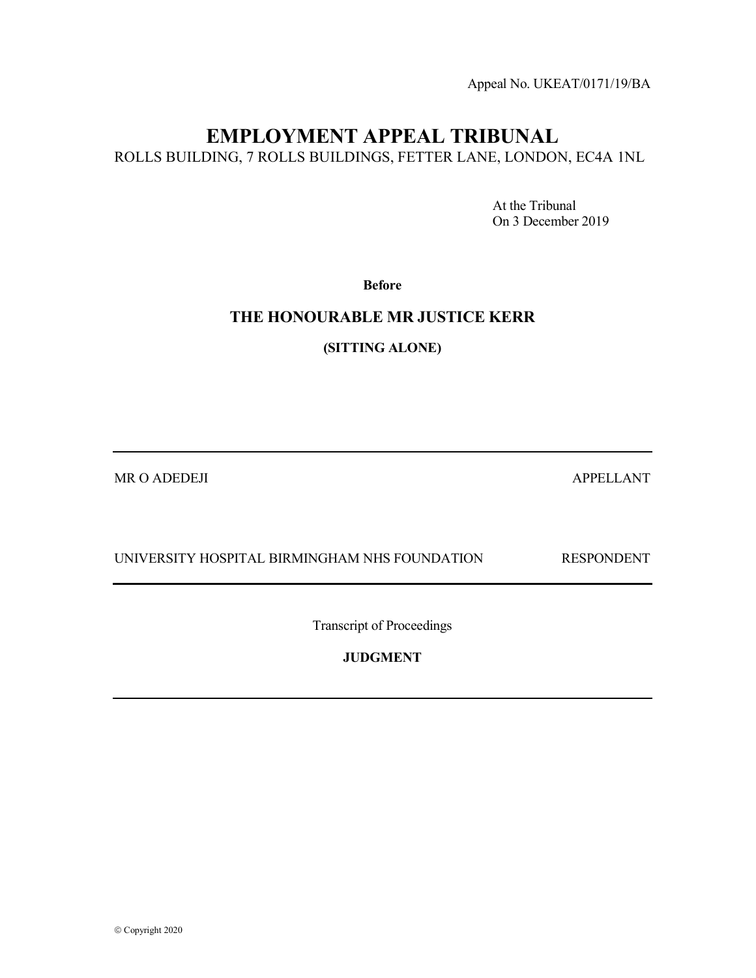Appeal No. UKEAT/0171/19/BA

# EMPLOYMENT APPEAL TRIBUNAL

ROLLS BUILDING, 7 ROLLS BUILDINGS, FETTER LANE, LONDON, EC4A 1NL

 At the Tribunal On 3 December 2019

Before

# THE HONOURABLE MR JUSTICE KERR

(SITTING ALONE)

MR O ADEDEJI APPELLANT

UNIVERSITY HOSPITAL BIRMINGHAM NHS FOUNDATION RESPONDENT

Transcript of Proceedings

JUDGMENT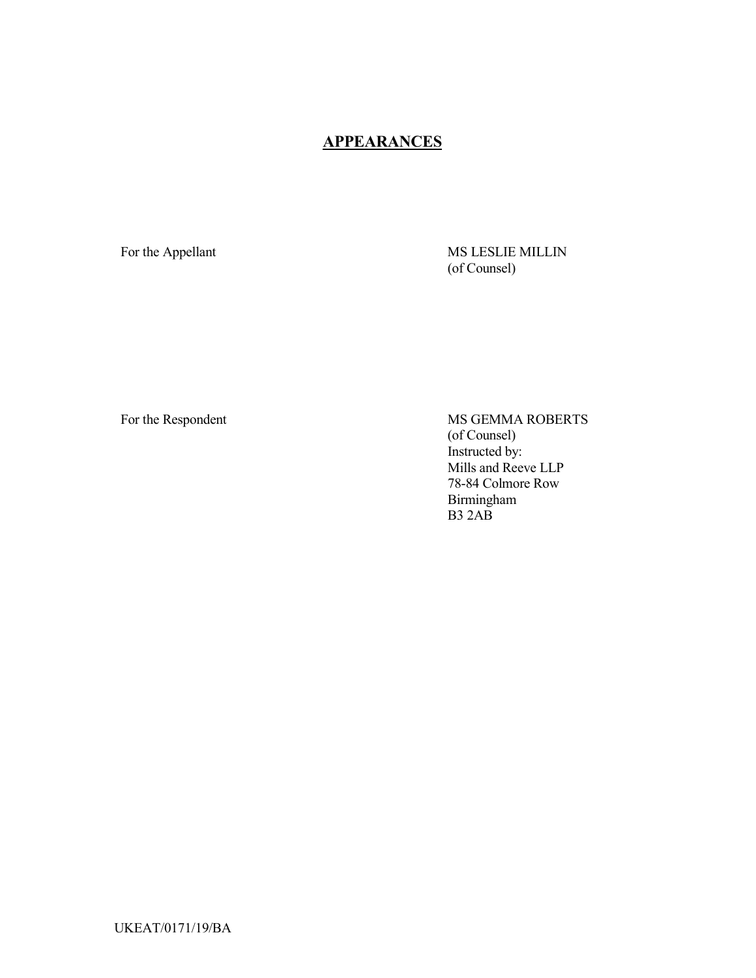# APPEARANCES

For the Appellant MS LESLIE MILLIN (of Counsel)

For the Respondent MS GEMMA ROBERTS (of Counsel) Instructed by: Mills and Reeve LLP 78-84 Colmore Row Birmingham B3 2AB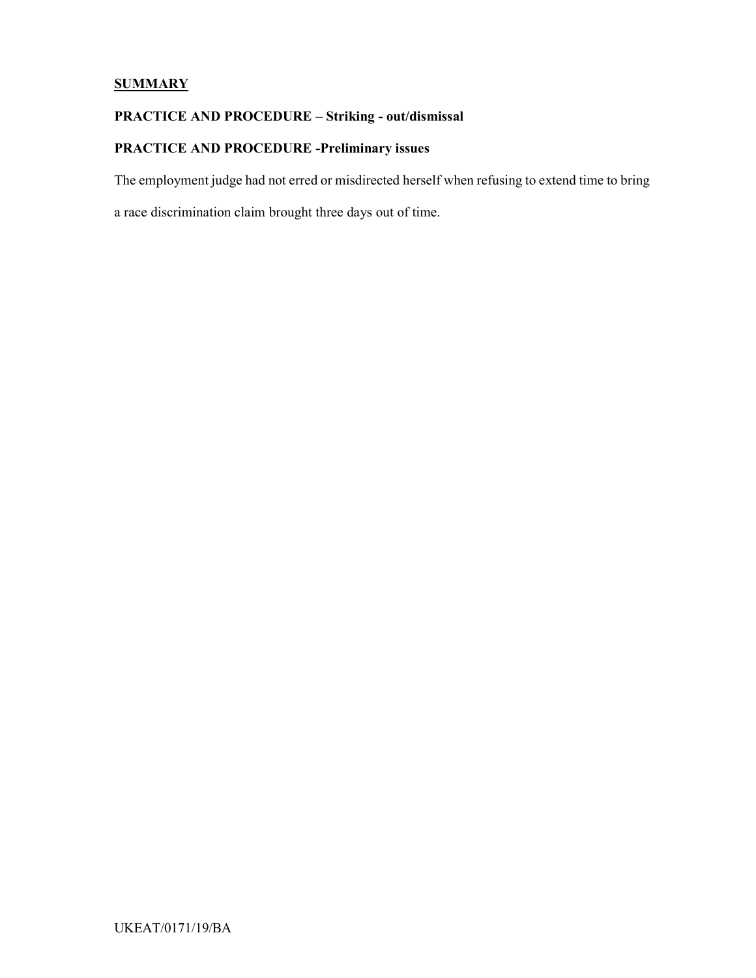# **SUMMARY**

# PRACTICE AND PROCEDURE – Striking - out/dismissal

# PRACTICE AND PROCEDURE -Preliminary issues

The employment judge had not erred or misdirected herself when refusing to extend time to bring

a race discrimination claim brought three days out of time.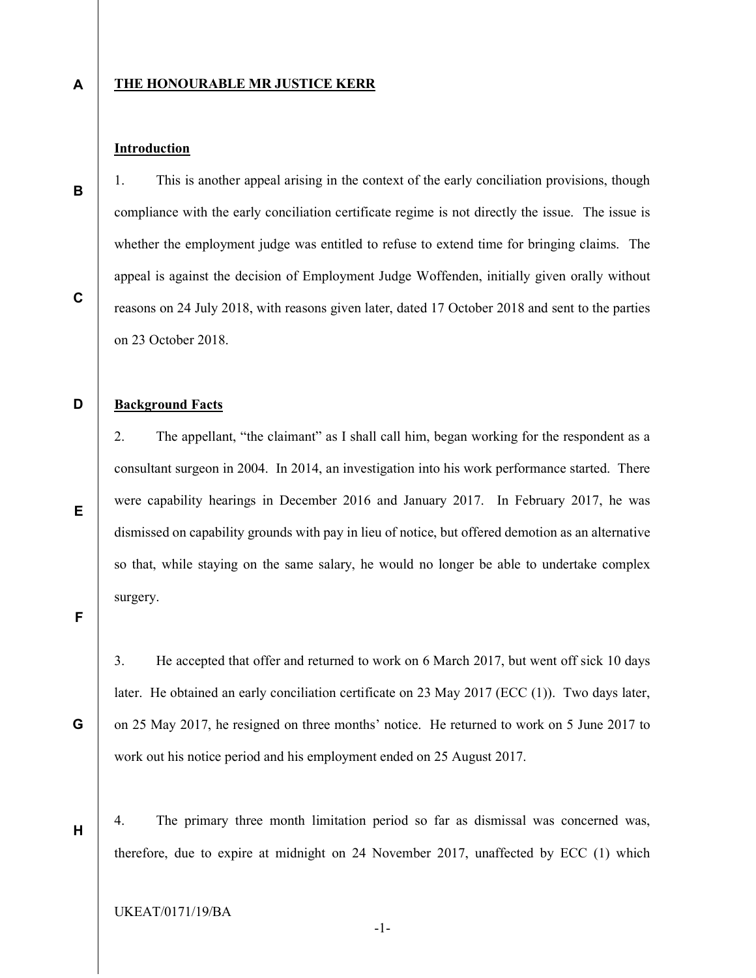#### THE HONOURABLE MR JUSTICE KERR

### **Introduction**

A

B

C

1. This is another appeal arising in the context of the early conciliation provisions, though compliance with the early conciliation certificate regime is not directly the issue. The issue is whether the employment judge was entitled to refuse to extend time for bringing claims. The appeal is against the decision of Employment Judge Woffenden, initially given orally without reasons on 24 July 2018, with reasons given later, dated 17 October 2018 and sent to the parties on 23 October 2018.

#### D Background Facts

2. The appellant, "the claimant" as I shall call him, began working for the respondent as a consultant surgeon in 2004. In 2014, an investigation into his work performance started. There were capability hearings in December 2016 and January 2017. In February 2017, he was dismissed on capability grounds with pay in lieu of notice, but offered demotion as an alternative so that, while staying on the same salary, he would no longer be able to undertake complex surgery.

F

G

H

E

3. He accepted that offer and returned to work on 6 March 2017, but went off sick 10 days later. He obtained an early conciliation certificate on 23 May 2017 (ECC (1)). Two days later, on 25 May 2017, he resigned on three months' notice. He returned to work on 5 June 2017 to work out his notice period and his employment ended on 25 August 2017.

4. The primary three month limitation period so far as dismissal was concerned was, therefore, due to expire at midnight on 24 November 2017, unaffected by ECC (1) which

UKEAT/0171/19/BA

-1-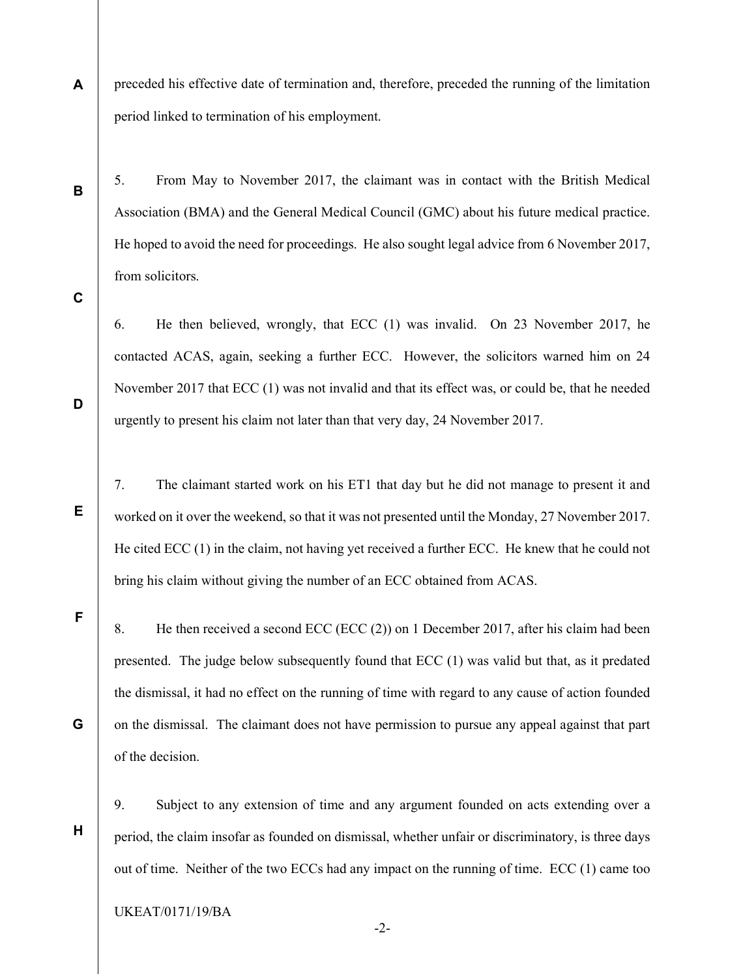- preceded his effective date of termination and, therefore, preceded the running of the limitation period linked to termination of his employment.
- B

A

5. From May to November 2017, the claimant was in contact with the British Medical Association (BMA) and the General Medical Council (GMC) about his future medical practice. He hoped to avoid the need for proceedings. He also sought legal advice from 6 November 2017, from solicitors.

C

D

E

6. He then believed, wrongly, that ECC (1) was invalid. On 23 November 2017, he contacted ACAS, again, seeking a further ECC. However, the solicitors warned him on 24 November 2017 that ECC (1) was not invalid and that its effect was, or could be, that he needed urgently to present his claim not later than that very day, 24 November 2017.

7. The claimant started work on his ET1 that day but he did not manage to present it and worked on it over the weekend, so that it was not presented until the Monday, 27 November 2017. He cited ECC (1) in the claim, not having yet received a further ECC. He knew that he could not bring his claim without giving the number of an ECC obtained from ACAS.

8. He then received a second ECC (ECC (2)) on 1 December 2017, after his claim had been

F

G

H

presented. The judge below subsequently found that ECC (1) was valid but that, as it predated the dismissal, it had no effect on the running of time with regard to any cause of action founded on the dismissal. The claimant does not have permission to pursue any appeal against that part of the decision.

9. Subject to any extension of time and any argument founded on acts extending over a period, the claim insofar as founded on dismissal, whether unfair or discriminatory, is three days out of time. Neither of the two ECCs had any impact on the running of time. ECC (1) came too

UKEAT/0171/19/BA

-2-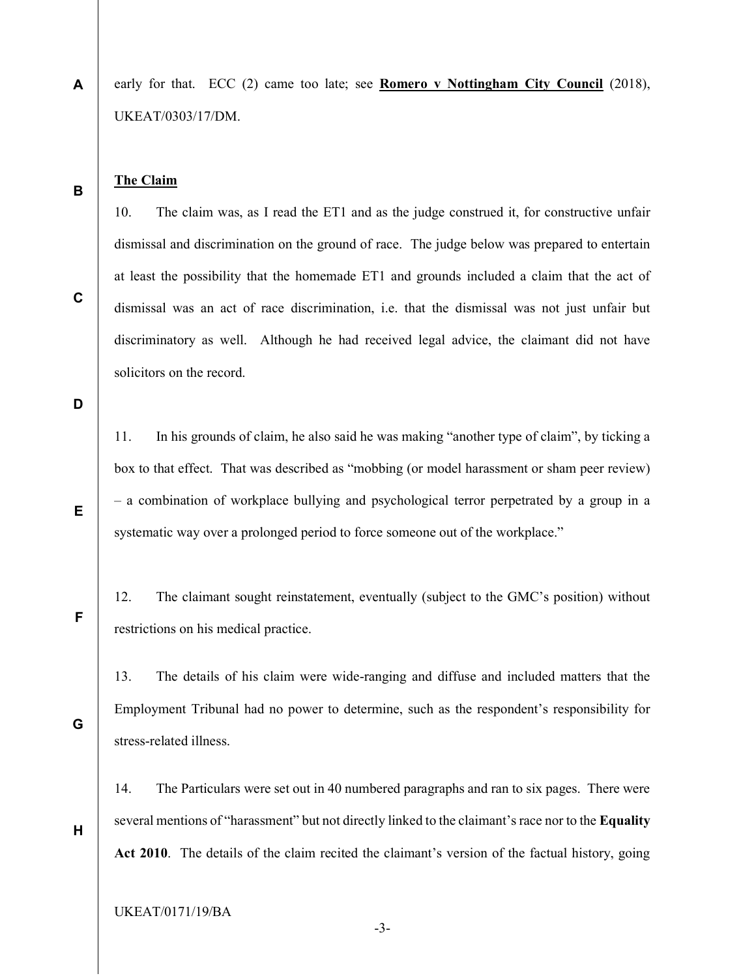A early for that. ECC  $(2)$  came too late; see **Romero v Nottingham City Council**  $(2018)$ , UKEAT/0303/17/DM.

### The Claim

10. The claim was, as I read the ET1 and as the judge construed it, for constructive unfair dismissal and discrimination on the ground of race. The judge below was prepared to entertain at least the possibility that the homemade ET1 and grounds included a claim that the act of dismissal was an act of race discrimination, i.e. that the dismissal was not just unfair but discriminatory as well. Although he had received legal advice, the claimant did not have solicitors on the record.

D

E

B

C

11. In his grounds of claim, he also said he was making "another type of claim", by ticking a box to that effect. That was described as "mobbing (or model harassment or sham peer review) – a combination of workplace bullying and psychological terror perpetrated by a group in a systematic way over a prolonged period to force someone out of the workplace."

12. The claimant sought reinstatement, eventually (subject to the GMC's position) without restrictions on his medical practice.

13. The details of his claim were wide-ranging and diffuse and included matters that the Employment Tribunal had no power to determine, such as the respondent's responsibility for stress-related illness.

14. The Particulars were set out in 40 numbered paragraphs and ran to six pages. There were several mentions of "harassment" but not directly linked to the claimant's race nor to the **Equality** Act 2010. The details of the claim recited the claimant's version of the factual history, going

F

G

H

UKEAT/0171/19/BA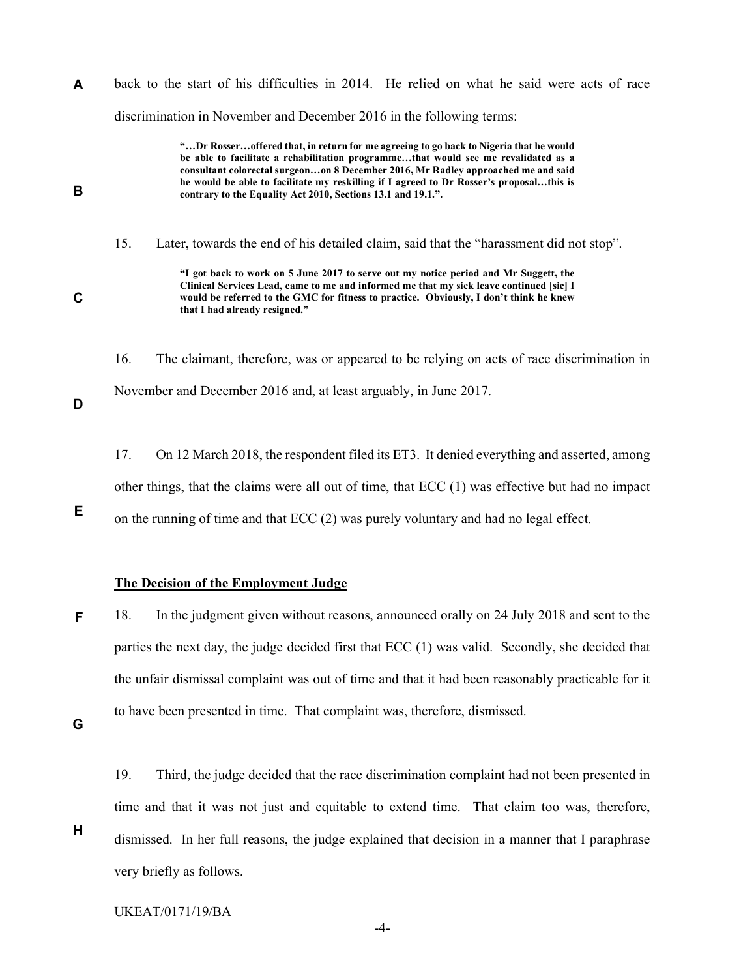| A           | back to the start of his difficulties in 2014. He relied on what he said were acts of race                                                                                                                                                                                                                                                                                                                                  |
|-------------|-----------------------------------------------------------------------------------------------------------------------------------------------------------------------------------------------------------------------------------------------------------------------------------------------------------------------------------------------------------------------------------------------------------------------------|
|             | discrimination in November and December 2016 in the following terms:                                                                                                                                                                                                                                                                                                                                                        |
| B           | "Dr Rosseroffered that, in return for me agreeing to go back to Nigeria that he would<br>be able to facilitate a rehabilitation programmethat would see me revalidated as a<br>consultant colorectal surgeonon 8 December 2016, Mr Radley approached me and said<br>he would be able to facilitate my reskilling if I agreed to Dr Rosser's proposalthis is<br>contrary to the Equality Act 2010, Sections 13.1 and 19.1.". |
|             | 15.<br>Later, towards the end of his detailed claim, said that the "harassment did not stop".                                                                                                                                                                                                                                                                                                                               |
| $\mathbf C$ | "I got back to work on 5 June 2017 to serve out my notice period and Mr Suggett, the<br>Clinical Services Lead, came to me and informed me that my sick leave continued [sic] I<br>would be referred to the GMC for fitness to practice. Obviously, I don't think he knew<br>that I had already resigned."                                                                                                                  |
|             | The claimant, therefore, was or appeared to be relying on acts of race discrimination in<br>16.                                                                                                                                                                                                                                                                                                                             |
| D           | November and December 2016 and, at least arguably, in June 2017.                                                                                                                                                                                                                                                                                                                                                            |
|             | 17.<br>On 12 March 2018, the respondent filed its ET3. It denied everything and asserted, among                                                                                                                                                                                                                                                                                                                             |
|             | other things, that the claims were all out of time, that ECC (1) was effective but had no impact                                                                                                                                                                                                                                                                                                                            |
| Е           | on the running of time and that $ECC(2)$ was purely voluntary and had no legal effect.                                                                                                                                                                                                                                                                                                                                      |
|             | <b>The Decision of the Employment Judge</b>                                                                                                                                                                                                                                                                                                                                                                                 |
| F           | 18.<br>In the judgment given without reasons, announced orally on 24 July 2018 and sent to the                                                                                                                                                                                                                                                                                                                              |
|             | parties the next day, the judge decided first that ECC (1) was valid. Secondly, she decided that                                                                                                                                                                                                                                                                                                                            |
|             | the unfair dismissal complaint was out of time and that it had been reasonably practicable for it                                                                                                                                                                                                                                                                                                                           |
| G           | to have been presented in time. That complaint was, therefore, dismissed.                                                                                                                                                                                                                                                                                                                                                   |
|             | 19.<br>Third, the judge decided that the race discrimination complaint had not been presented in                                                                                                                                                                                                                                                                                                                            |
|             | time and that it was not just and equitable to extend time. That claim too was, therefore,                                                                                                                                                                                                                                                                                                                                  |
| H           |                                                                                                                                                                                                                                                                                                                                                                                                                             |

dismissed. In her full reasons, the judge explained that decision in a manner that I paraphrase very briefly as follows.

UKEAT/0171/19/BA

-4-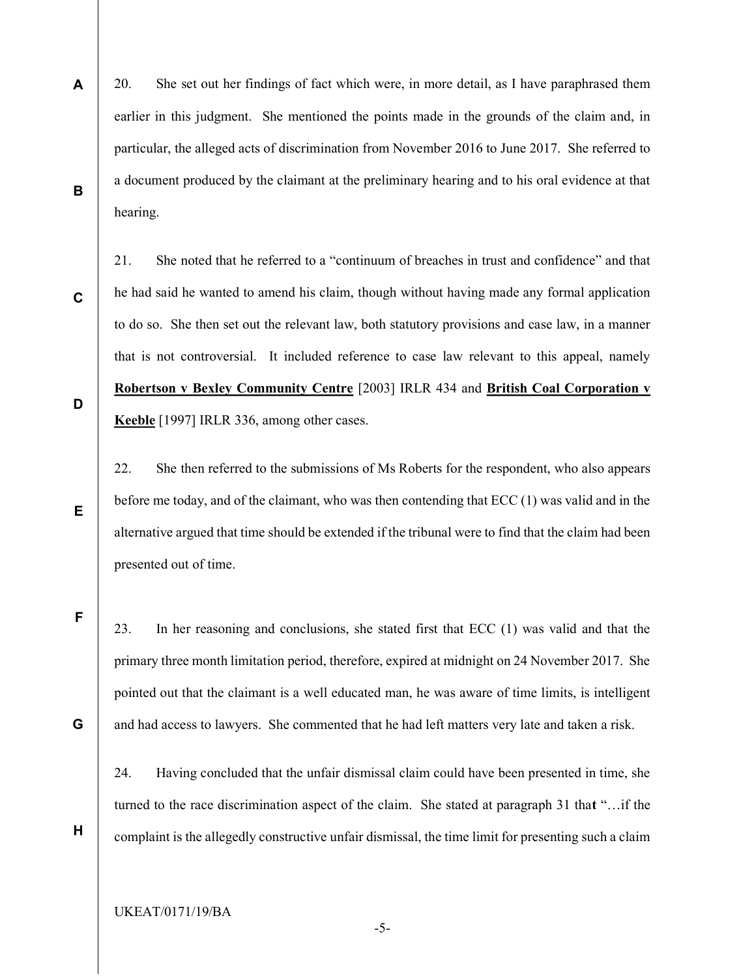20. She set out her findings of fact which were, in more detail, as I have paraphrased them earlier in this judgment. She mentioned the points made in the grounds of the claim and, in particular, the alleged acts of discrimination from November 2016 to June 2017. She referred to a document produced by the claimant at the preliminary hearing and to his oral evidence at that hearing.

21. She noted that he referred to a "continuum of breaches in trust and confidence" and that he had said he wanted to amend his claim, though without having made any formal application to do so. She then set out the relevant law, both statutory provisions and case law, in a manner that is not controversial. It included reference to case law relevant to this appeal, namely Robertson v Bexley Community Centre [2003] IRLR 434 and British Coal Corporation v Keeble [1997] IRLR 336, among other cases.

22. She then referred to the submissions of Ms Roberts for the respondent, who also appears before me today, and of the claimant, who was then contending that ECC (1) was valid and in the alternative argued that time should be extended if the tribunal were to find that the claim had been presented out of time.

23. In her reasoning and conclusions, she stated first that ECC (1) was valid and that the primary three month limitation period, therefore, expired at midnight on 24 November 2017. She pointed out that the claimant is a well educated man, he was aware of time limits, is intelligent and had access to lawyers. She commented that he had left matters very late and taken a risk.

24. Having concluded that the unfair dismissal claim could have been presented in time, she turned to the race discrimination aspect of the claim. She stated at paragraph 31 that "…if the complaint is the allegedly constructive unfair dismissal, the time limit for presenting such a claim

UKEAT/0171/19/BA

C

D

A

B

E

F

G

H

-5-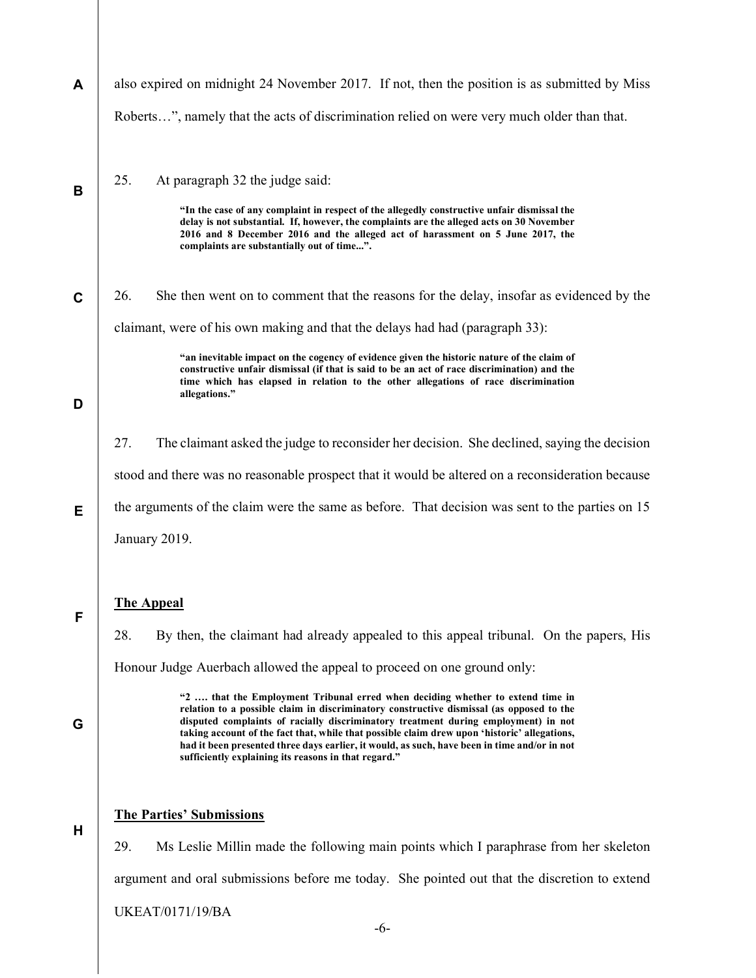| A | also expired on midnight 24 November 2017. If not, then the position is as submitted by Miss                                                                                                                                                                                                                                                                                                                                                                                                                             |
|---|--------------------------------------------------------------------------------------------------------------------------------------------------------------------------------------------------------------------------------------------------------------------------------------------------------------------------------------------------------------------------------------------------------------------------------------------------------------------------------------------------------------------------|
|   | Roberts", namely that the acts of discrimination relied on were very much older than that.                                                                                                                                                                                                                                                                                                                                                                                                                               |
|   |                                                                                                                                                                                                                                                                                                                                                                                                                                                                                                                          |
| B | 25.<br>At paragraph 32 the judge said:                                                                                                                                                                                                                                                                                                                                                                                                                                                                                   |
|   | "In the case of any complaint in respect of the allegedly constructive unfair dismissal the<br>delay is not substantial. If, however, the complaints are the alleged acts on 30 November<br>2016 and 8 December 2016 and the alleged act of harassment on 5 June 2017, the<br>complaints are substantially out of time".                                                                                                                                                                                                 |
| C | 26.<br>She then went on to comment that the reasons for the delay, insofar as evidenced by the                                                                                                                                                                                                                                                                                                                                                                                                                           |
|   | claimant, were of his own making and that the delays had had (paragraph 33):                                                                                                                                                                                                                                                                                                                                                                                                                                             |
| D | "an inevitable impact on the cogency of evidence given the historic nature of the claim of<br>constructive unfair dismissal (if that is said to be an act of race discrimination) and the<br>time which has elapsed in relation to the other allegations of race discrimination<br>allegations."                                                                                                                                                                                                                         |
|   | 27.<br>The claimant asked the judge to reconsider her decision. She declined, saying the decision                                                                                                                                                                                                                                                                                                                                                                                                                        |
|   | stood and there was no reasonable prospect that it would be altered on a reconsideration because                                                                                                                                                                                                                                                                                                                                                                                                                         |
| E | the arguments of the claim were the same as before. That decision was sent to the parties on 15                                                                                                                                                                                                                                                                                                                                                                                                                          |
|   | January 2019.                                                                                                                                                                                                                                                                                                                                                                                                                                                                                                            |
|   |                                                                                                                                                                                                                                                                                                                                                                                                                                                                                                                          |
| F | <b>The Appeal</b>                                                                                                                                                                                                                                                                                                                                                                                                                                                                                                        |
|   | 28.<br>By then, the claimant had already appealed to this appeal tribunal. On the papers, His                                                                                                                                                                                                                                                                                                                                                                                                                            |
|   | Honour Judge Auerbach allowed the appeal to proceed on one ground only:                                                                                                                                                                                                                                                                                                                                                                                                                                                  |
| G | "2  that the Employment Tribunal erred when deciding whether to extend time in<br>relation to a possible claim in discriminatory constructive dismissal (as opposed to the<br>disputed complaints of racially discriminatory treatment during employment) in not<br>taking account of the fact that, while that possible claim drew upon 'historic' allegations,<br>had it been presented three days earlier, it would, as such, have been in time and/or in not<br>sufficiently explaining its reasons in that regard." |
| Н | <b>The Parties' Submissions</b>                                                                                                                                                                                                                                                                                                                                                                                                                                                                                          |
|   | 29.<br>Ms Leslie Millin made the following main points which I paraphrase from her skeleton                                                                                                                                                                                                                                                                                                                                                                                                                              |
|   | argument and oral submissions before me today. She pointed out that the discretion to extend                                                                                                                                                                                                                                                                                                                                                                                                                             |

UKEAT/0171/19/BA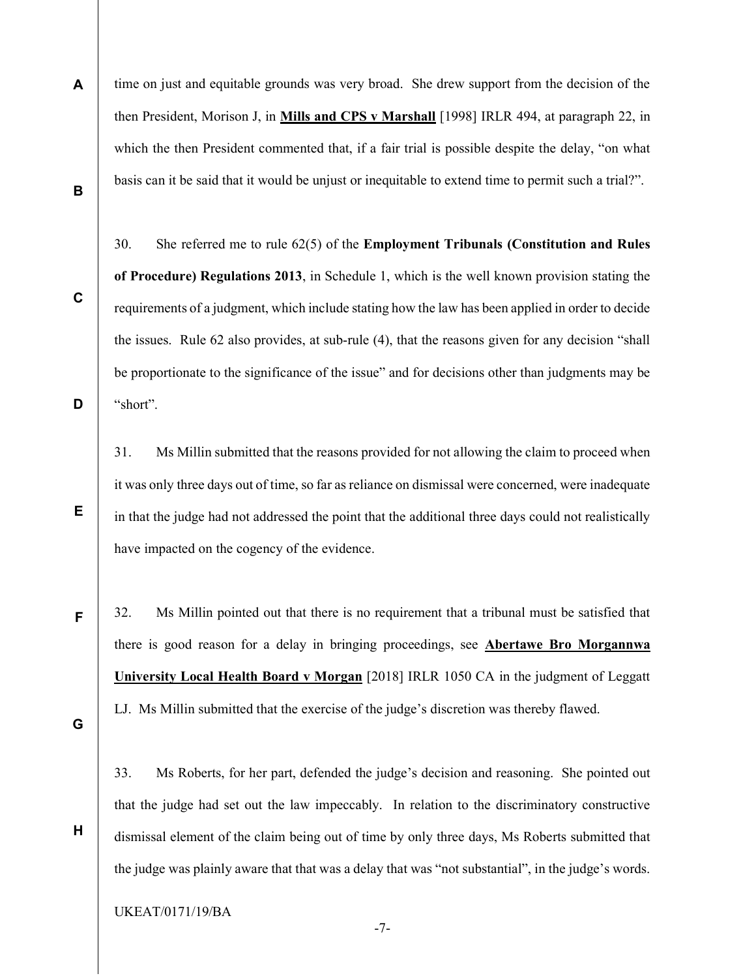A B time on just and equitable grounds was very broad. She drew support from the decision of the then President, Morison J, in Mills and CPS v Marshall [1998] IRLR 494, at paragraph 22, in which the then President commented that, if a fair trial is possible despite the delay, "on what basis can it be said that it would be unjust or inequitable to extend time to permit such a trial?".

30. She referred me to rule 62(5) of the Employment Tribunals (Constitution and Rules of Procedure) Regulations 2013, in Schedule 1, which is the well known provision stating the requirements of a judgment, which include stating how the law has been applied in order to decide the issues. Rule 62 also provides, at sub-rule (4), that the reasons given for any decision "shall be proportionate to the significance of the issue" and for decisions other than judgments may be "short".

31. Ms Millin submitted that the reasons provided for not allowing the claim to proceed when it was only three days out of time, so far as reliance on dismissal were concerned, were inadequate in that the judge had not addressed the point that the additional three days could not realistically have impacted on the cogency of the evidence.

32. Ms Millin pointed out that there is no requirement that a tribunal must be satisfied that there is good reason for a delay in bringing proceedings, see Abertawe Bro Morgannwa University Local Health Board v Morgan [2018] IRLR 1050 CA in the judgment of Leggatt LJ. Ms Millin submitted that the exercise of the judge's discretion was thereby flawed.

G

H

33. Ms Roberts, for her part, defended the judge's decision and reasoning. She pointed out that the judge had set out the law impeccably. In relation to the discriminatory constructive dismissal element of the claim being out of time by only three days, Ms Roberts submitted that the judge was plainly aware that that was a delay that was "not substantial", in the judge's words.

UKEAT/0171/19/BA

C

E

D

F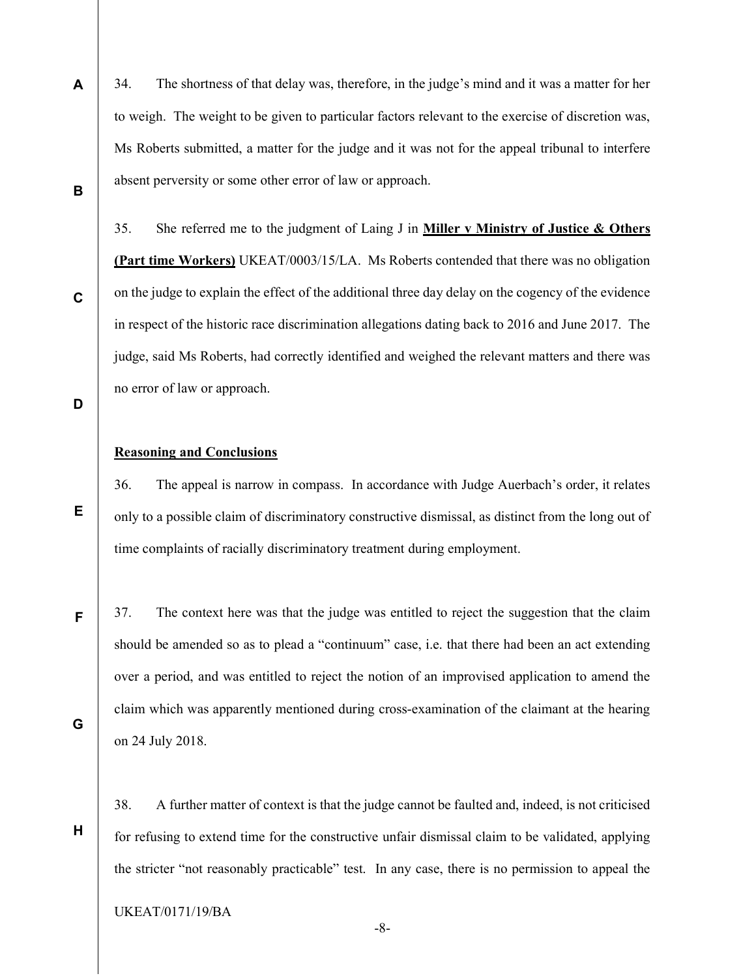34. The shortness of that delay was, therefore, in the judge's mind and it was a matter for her to weigh. The weight to be given to particular factors relevant to the exercise of discretion was, Ms Roberts submitted, a matter for the judge and it was not for the appeal tribunal to interfere absent perversity or some other error of law or approach.

35. She referred me to the judgment of Laing J in Miller v Ministry of Justice  $\&$  Others (Part time Workers) UKEAT/0003/15/LA. Ms Roberts contended that there was no obligation on the judge to explain the effect of the additional three day delay on the cogency of the evidence in respect of the historic race discrimination allegations dating back to 2016 and June 2017. The judge, said Ms Roberts, had correctly identified and weighed the relevant matters and there was no error of law or approach.

D

E

F

G

H

A

B

C

## Reasoning and Conclusions

36. The appeal is narrow in compass. In accordance with Judge Auerbach's order, it relates only to a possible claim of discriminatory constructive dismissal, as distinct from the long out of time complaints of racially discriminatory treatment during employment.

37. The context here was that the judge was entitled to reject the suggestion that the claim should be amended so as to plead a "continuum" case, i.e. that there had been an act extending over a period, and was entitled to reject the notion of an improvised application to amend the claim which was apparently mentioned during cross-examination of the claimant at the hearing on 24 July 2018.

38. A further matter of context is that the judge cannot be faulted and, indeed, is not criticised for refusing to extend time for the constructive unfair dismissal claim to be validated, applying the stricter "not reasonably practicable" test. In any case, there is no permission to appeal the

UKEAT/0171/19/BA

-8-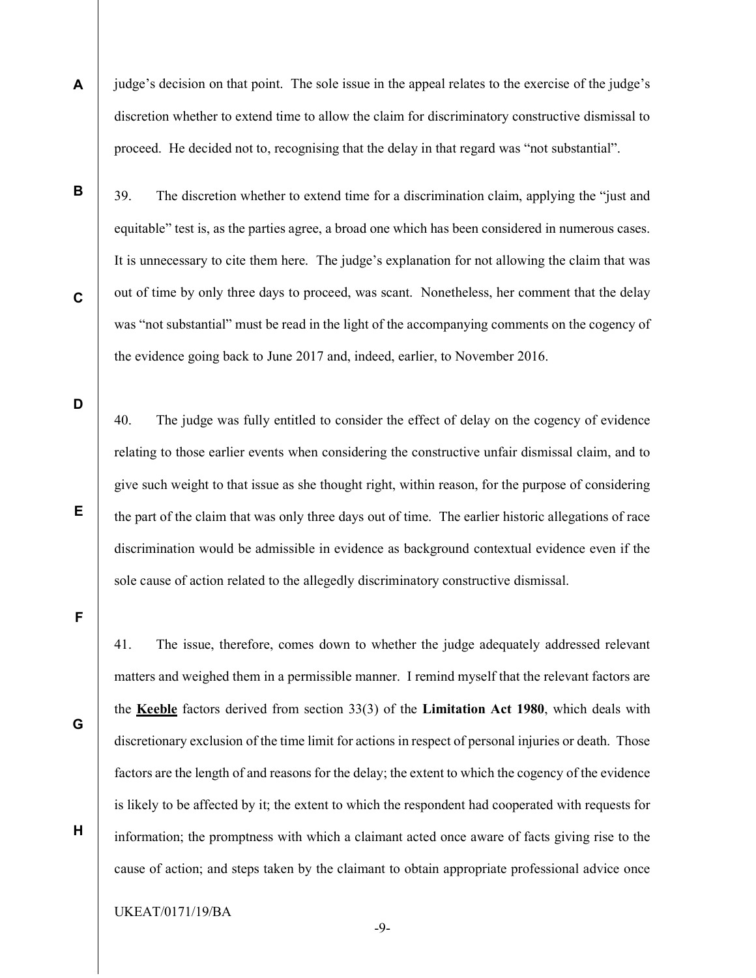A judge's decision on that point. The sole issue in the appeal relates to the exercise of the judge's discretion whether to extend time to allow the claim for discriminatory constructive dismissal to proceed. He decided not to, recognising that the delay in that regard was "not substantial".

39. The discretion whether to extend time for a discrimination claim, applying the "just and equitable" test is, as the parties agree, a broad one which has been considered in numerous cases. It is unnecessary to cite them here. The judge's explanation for not allowing the claim that was out of time by only three days to proceed, was scant. Nonetheless, her comment that the delay was "not substantial" must be read in the light of the accompanying comments on the cogency of the evidence going back to June 2017 and, indeed, earlier, to November 2016.

40. The judge was fully entitled to consider the effect of delay on the cogency of evidence relating to those earlier events when considering the constructive unfair dismissal claim, and to give such weight to that issue as she thought right, within reason, for the purpose of considering the part of the claim that was only three days out of time. The earlier historic allegations of race discrimination would be admissible in evidence as background contextual evidence even if the sole cause of action related to the allegedly discriminatory constructive dismissal.

F

G

H

B

C

D

E

41. The issue, therefore, comes down to whether the judge adequately addressed relevant matters and weighed them in a permissible manner. I remind myself that the relevant factors are the Keeble factors derived from section 33(3) of the Limitation Act 1980, which deals with discretionary exclusion of the time limit for actions in respect of personal injuries or death. Those factors are the length of and reasons for the delay; the extent to which the cogency of the evidence is likely to be affected by it; the extent to which the respondent had cooperated with requests for information; the promptness with which a claimant acted once aware of facts giving rise to the cause of action; and steps taken by the claimant to obtain appropriate professional advice once

-9-